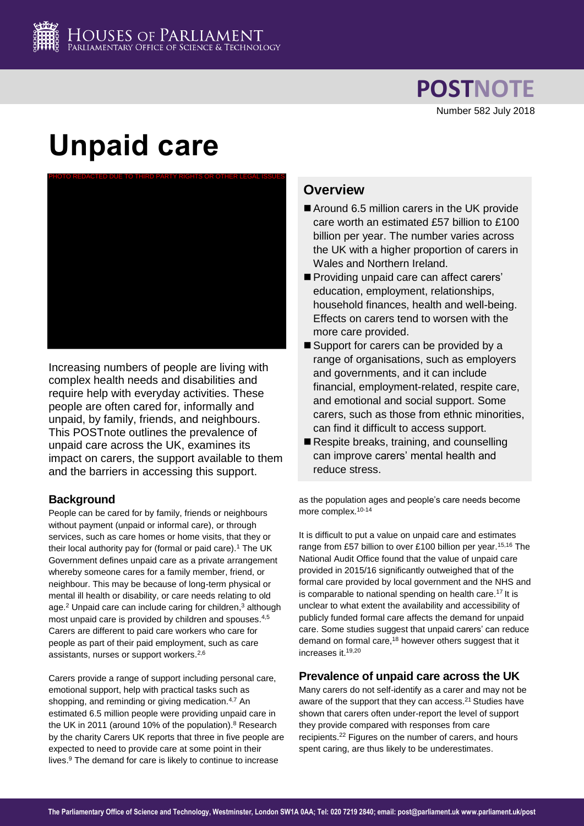

**POSTNOTE** Number 582 July 2018

# **Unpaid care**



Increasing numbers of people are living with complex health needs and disabilities and require help with everyday activities. These people are often cared for, informally and unpaid, by family, friends, and neighbours. This POSTnote outlines the prevalence of unpaid care across the UK, examines its impact on carers, the support available to them and the barriers in accessing this support.

## **Background**

People can be cared for by family, friends or neighbours without payment (unpaid or informal care), or through services, such as care homes or home visits, that they or their local authority pay for (formal or paid care).<sup>1</sup> The UK Government defines unpaid care as a private arrangement whereby someone cares for a family member, friend, or neighbour. This may be because of long-term physical or mental ill health or disability, or care needs relating to old age.<sup>2</sup> Unpaid care can include caring for children,<sup>3</sup> although most unpaid care is provided by children and spouses.<sup>4,5</sup> Carers are different to paid care workers who care for people as part of their paid employment, such as care assistants, nurses or support workers.<sup>[2,6](#page-0-0)</sup>

<span id="page-0-0"></span>Carers provide a range of support including personal care, emotional support, help with practical tasks such as shopping, and reminding or giving medication.<sup>[4,7](#page-0-1)</sup> An estimated 6.5 million people were providing unpaid care in the UK in 2011 (around 10% of the population).<sup>8</sup> Research by the charity Carers UK reports that three in five people are expected to need to provide care at some point in their lives.<sup>9</sup> The demand for care is likely to continue to increase

## **Overview**

- Around 6.5 million carers in the UK provide care worth an estimated £57 billion to £100 billion per year. The number varies across the UK with a higher proportion of carers in Wales and Northern Ireland.
- Providing unpaid care can affect carers' education, employment, relationships, household finances, health and well-being. Effects on carers tend to worsen with the more care provided.
- Support for carers can be provided by a range of organisations, such as employers and governments, and it can include financial, employment-related, respite care, and emotional and social support. Some carers, such as those from ethnic minorities, can find it difficult to access support.
- Respite breaks, training, and counselling can improve carers' mental health and reduce stress.

as the population ages and people's care needs become more complex.<sup>10-14</sup>

It is difficult to put a value on unpaid care and estimates range from £57 billion to over £100 billion per year.<sup>15,16</sup> The National Audit Office found that the value of unpaid care provided in 2015/16 significantly outweighed that of the formal care provided by local government and the NHS and is comparable to national spending on health care.<sup>17</sup> It is unclear to what extent the availability and accessibility of publicly funded formal care affects the demand for unpaid care. Some studies suggest that unpaid carers' can reduce demand on formal care,<sup>18</sup> however others suggest that it increases it.19,20

#### <span id="page-0-4"></span><span id="page-0-3"></span><span id="page-0-1"></span>**Prevalence of unpaid care across the UK**

<span id="page-0-2"></span>Many carers do not self-identify as a carer and may not be aware of the support that they can access.<sup>21</sup> Studies have shown that carers often under-report the level of support they provide compared with responses from care recipients.<sup>22</sup> Figures on the number of carers, and hours spent caring, are thus likely to be underestimates.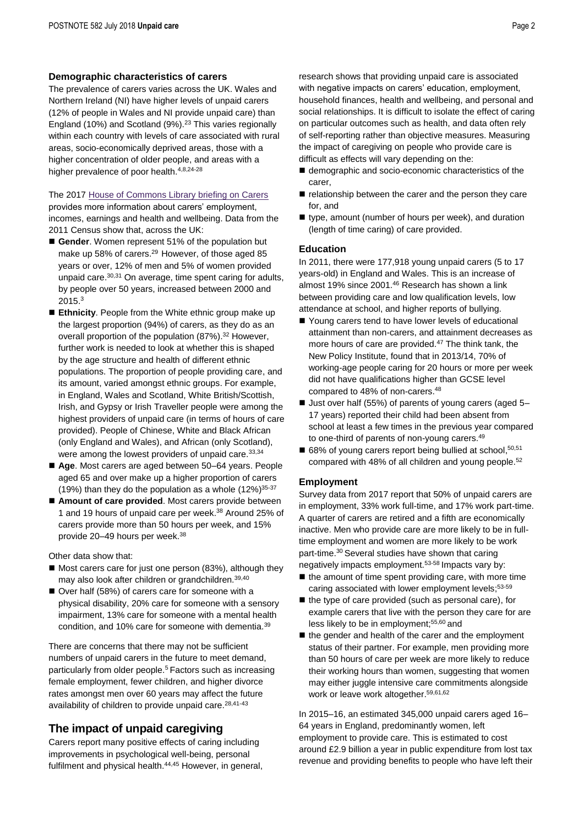#### **Demographic characteristics of carers**

The prevalence of carers varies across the UK. Wales and Northern Ireland (NI) have higher levels of unpaid carers (12% of people in Wales and NI provide unpaid care) than England (10%) and Scotland (9%).<sup>23</sup> This varies regionally within each country with levels of care associated with rural areas, socio-economically deprived areas, those with a higher concentration of older people, and areas with a higher prevalence of poor health.<sup>[4,](#page-0-1)[8,2](#page-0-2)4-28</sup>

The 2017 [House of Commons Library briefing on Carers](http://researchbriefings.parliament.uk/ResearchBriefing/Summary/CBP-7756)

provides more information about carers' employment, incomes, earnings and health and wellbeing. Data from the 2011 Census show that, across the UK:

- <span id="page-1-7"></span><span id="page-1-3"></span>Gender. Women represent 51% of the population but make up 58% of carers.<sup>29</sup> However, of those aged 85 years or over, 12% of men and 5% of women provided unpaid care.<sup>30,31</sup> On average, time spent caring for adults, by people over 50 years, increased between 2000 and  $2015.<sup>3</sup>$  $2015.<sup>3</sup>$  $2015.<sup>3</sup>$
- **Ethnicity**. People from the White ethnic group make up the largest proportion (94%) of carers, as they do as an overall proportion of the population (87%). <sup>32</sup> However, further work is needed to look at whether this is shaped by the age structure and health of different ethnic populations. The proportion of people providing care, and its amount, varied amongst ethnic groups. For example, in England, Wales and Scotland, White British/Scottish, Irish, and Gypsy or Irish Traveller people were among the highest providers of unpaid care (in terms of hours of care provided). People of Chinese, White and Black African (only England and Wales), and African (only Scotland), were among the lowest providers of unpaid care. 33,34
- Age. Most carers are aged between 50–64 years. People aged 65 and over make up a higher proportion of carers (19%) than they do the population as a whole  $(12\%)^{35-37}$
- **Amount of care provided**. Most carers provide between 1 and 19 hours of unpaid care per week. <sup>38</sup> Around 25% of carers provide more than 50 hours per week, and 15% provide 20–49 hours per week. [38](#page-1-0)

Other data show that:

- Most carers care for just one person (83%), although they may also look after children or grandchildren.<sup>39,40</sup>
- Over half (58%) of carers care for someone with a physical disability, 20% care for someone with a sensory impairment, 13% care for someone with a mental health condition, and 10% care for someone with dementia.[39](#page-1-1)

There are concerns that there may not be sufficient numbers of unpaid carers in the future to meet demand, particularly from older people.<sup>[5](#page-0-4)</sup> Factors such as increasing female employment, fewer children, and higher divorce rates amongst men over 60 years may affect the future availability of children to provide unpaid care. $28,41-43$  $28,41-43$ 

## **The impact of unpaid caregiving**

<span id="page-1-9"></span><span id="page-1-8"></span>Carers report many positive effects of caring including improvements in psychological well-being, personal fulfilment and physical health.<sup>44,45</sup> However, in general,

research shows that providing unpaid care is associated with negative impacts on carers' education, employment, household finances, health and wellbeing, and personal and social relationships. It is difficult to isolate the effect of caring on particular outcomes such as health, and data often rely of self-reporting rather than objective measures. Measuring the impact of caregiving on people who provide care is difficult as effects will vary depending on the:

- <span id="page-1-2"></span>■ demographic and socio-economic characteristics of the carer,
- $\blacksquare$  relationship between the carer and the person they care for, and
- type, amount (number of hours per week), and duration (length of time caring) of care provided.

#### **Education**

In 2011, there were 177,918 young unpaid carers (5 to 17 years-old) in England and Wales. This is an increase of almost 19% since 2001.<sup>46</sup> Research has shown a link between providing care and low qualification levels, low attendance at school, and higher reports of bullying.

- Young carers tend to have lower levels of educational attainment than non-carers, and attainment decreases as more hours of care are provided.<sup>47</sup> The think tank, the New Policy Institute, found that in 2013/14, 70% of working-age people caring for 20 hours or more per week did not have qualifications higher than GCSE level compared to 48% of non-carers.<sup>48</sup>
- Just over half (55%) of parents of young carers (aged 5– 17 years) reported their child had been absent from school at least a few times in the previous year compared to one-third of parents of non-young carers.<sup>49</sup>
- 68% of young carers report being bullied at school, 50,51 compared with 48% of all children and young people.<sup>52</sup>

#### **Employment**

<span id="page-1-0"></span>Survey data from 2017 report that 50% of unpaid carers are in employment, 33% work full-time, and 17% work part-time. A quarter of carers are retired and a fifth are economically inactive. Men who provide care are more likely to be in fulltime employment and women are more likely to be work part-time.[30](#page-1-3) Several studies have shown that caring negatively impacts employment.53-58 Impacts vary by:

- <span id="page-1-6"></span><span id="page-1-5"></span><span id="page-1-4"></span><span id="page-1-1"></span> $\blacksquare$  the amount of time spent providing care, with more time caring associated with lower employment levels;<sup>[53-5](#page-1-4)9</sup>
- $\blacksquare$  the type of care provided (such as personal care), for example carers that live with the person they care for are less likely to be in employment; [55,6](#page-1-5)0 and
- $\blacksquare$  the gender and health of the carer and the employment status of their partner. For example, men providing more than 50 hours of care per week are more likely to reduce their working hours than women, suggesting that women may either juggle intensive care commitments alongside work or leave work altogether. [59,6](#page-1-6)1,62

In 2015–16, an estimated 345,000 unpaid carers aged 16– 64 years in England, predominantly women, left employment to provide care. This is estimated to cost around £2.9 billion a year in public expenditure from lost tax revenue and providing benefits to people who have left their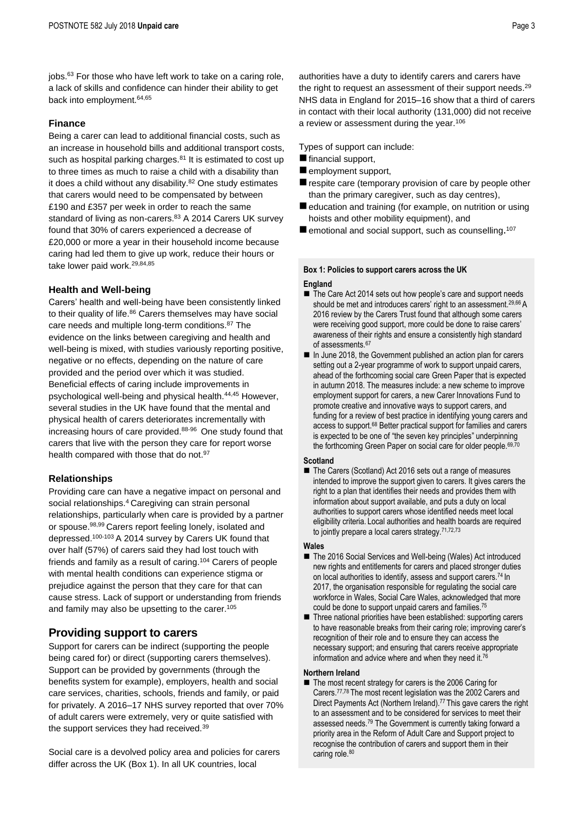jobs.<sup>63</sup> For those who have left work to take on a caring role, a lack of skills and confidence can hinder their ability to get back into employment.64,65

#### **Finance**

Being a carer can lead to additional financial costs, such as an increase in household bills and additional transport costs, such as hospital parking charges.<sup>81</sup> It is estimated to cost up to three times as much to raise a child with a disability than it does a child without any disability. $82$  One study estimates that carers would need to be compensated by between £190 and £357 per week in order to reach the same standard of living as non-carers.<sup>83</sup> A 2014 Carers UK survey found that 30% of carers experienced a decrease of £20,000 or more a year in their household income because caring had led them to give up work, reduce their hours or take lower paid work.[29,8](#page-1-7)4,85

#### **Health and Well-being**

Carers' health and well-being have been consistently linked to their quality of life.<sup>86</sup> Carers themselves may have social care needs and multiple long-term conditions.<sup>87</sup> The evidence on the links between caregiving and health and well-being is mixed, with studies variously reporting positive, negative or no effects, depending on the nature of care provided and the period over which it was studied. Beneficial effects of caring include improvements in psychological well-being and physical health.[44,](#page-1-8)[45](#page-1-9) However, several studies in the UK have found that the mental and physical health of carers deteriorates incrementally with increasing hours of care provided.<sup>88-96</sup> One study found that carers that live with the person they care for report worse health compared with those that do not.<sup>97</sup>

#### **Relationships**

Providing care can have a negative impact on personal and social relationships.<sup>[4](#page-0-1)</sup> Caregiving can strain personal relationships, particularly when care is provided by a partner or spouse.98,99 Carers report feeling lonely, isolated and depressed.100-103 A 2014 survey by Carers UK found that over half (57%) of carers said they had lost touch with friends and family as a result of caring.<sup>104</sup> Carers of people with mental health conditions can experience stigma or prejudice against the person that they care for that can cause stress. Lack of support or understanding from friends and family may also be upsetting to the carer.<sup>105</sup>

## **Providing support to carers**

Support for carers can be indirect (supporting the people being cared for) or direct (supporting carers themselves). Support can be provided by governments (through the benefits system for example), employers, health and social care services, charities, schools, friends and family, or paid for privately. A 2016–17 NHS survey reported that over 70% of adult carers were extremely, very or quite satisfied with the support services they had received.<sup>[39](#page-1-1)</sup>

Social care is a devolved policy area and policies for carers differ across the UK (Box 1). In all UK countries, local

authorities have a duty to identify carers and carers have the right to request an assessment of their support needs.<sup>[29](#page-1-7)</sup> NHS data in England for 2015–16 show that a third of carers in contact with their local authority (131,000) did not receive a review or assessment during the year.<sup>106</sup>

Types of support can include:

- $\blacksquare$  financial support,
- $\blacksquare$  employment support,
- $\blacksquare$  respite care (temporary provision of care by people other than the primary caregiver, such as day centres),
- $\blacksquare$  education and training (for example, on nutrition or using hoists and other mobility equipment), and
- emotional and social support, such as counselling.<sup>107</sup>

## **Box 1: Policies to support carers across the UK**

#### **England**

- The Care Act 2014 sets out how people's care and support needs should be met and introduces carers' right to an assessment.<sup>[29,6](#page-1-7)6</sup> A 2016 review by the Carers Trust found that although some carers were receiving good support, more could be done to raise carers' awareness of their rights and ensure a consistently high standard of assessments.<sup>67</sup>
- In June 2018, the Government published an action plan for carers setting out a 2-year programme of work to support unpaid carers, ahead of the forthcoming social care Green Paper that is expected in autumn 2018. The measures include: a new scheme to improve employment support for carers, a new Carer Innovations Fund to promote creative and innovative ways to support carers, and funding for a review of best practice in identifying young carers and access to support.<sup>68</sup> Better practical support for families and carers is expected to be one of "the seven key principles" underpinning the forthcoming Green Paper on social care for older people. 69,70

#### **Scotland**

■ The [Carers \(Scotland\) Act 2016](http://www.gov.scot/Topics/Health/Support-Social-Care/Unpaid-Carers/Implementation/Carers-scotland-act-2016) sets out a range of measures intended to improve the support given to carers. It gives carers the right to a plan that identifies their needs and provides them with information about support available, and puts a duty on local authorities to support carers whose identified needs meet local eligibility criteria. Local authorities and health boards are required to jointly prepare a local carers strategy.<sup>71,72,73</sup>

#### **Wales**

- The 2016 Social Services and Well-being (Wales) Act introduced new rights and entitlements for carers and placed stronger duties on local authorities to identify, assess and support carers.<sup>74</sup> In 2017, the organisation responsible for regulating the social care workforce in Wales, Social Care Wales, acknowledged that more could be done to support unpaid carers and families.<sup>75</sup>
- Three national priorities have been established: supporting carers to have reasonable breaks from their caring role; improving carer's recognition of their role and to ensure they can access the necessary support; and ensuring that carers receive appropriate information and advice where and when they need it.<sup>76</sup>

#### **Northern Ireland**

<span id="page-2-0"></span>■ The most recent strategy for carers is the 2006 Caring for Carers.77,78 The most recent legislation was the 2002 Carers and Direct Payments Act (Northern Ireland).<sup>[77](#page-2-0)</sup> This gave carers the right to an assessment and to be considered for services to meet their assessed needs.<sup>79</sup> The Government is currently taking forward a priority area in the Reform of Adult Care and Support project to recognise the contribution of carers and support them in their caring role.<sup>80</sup>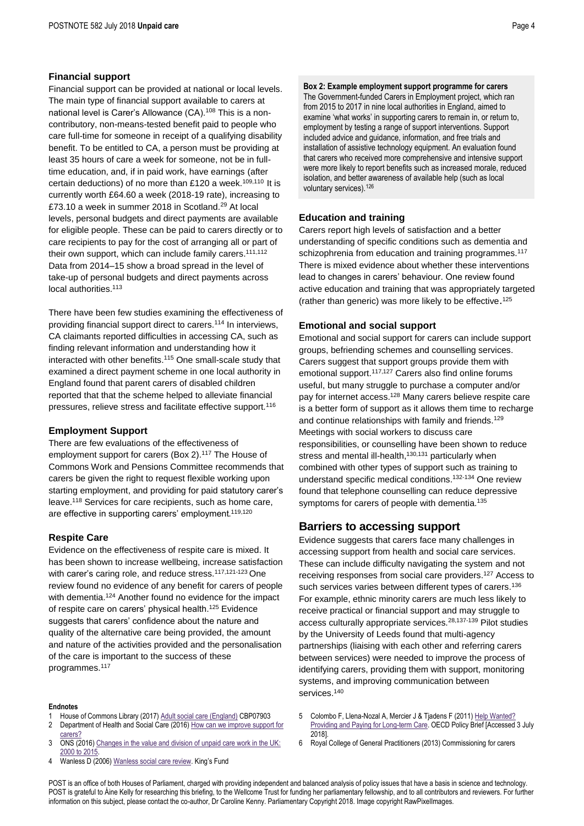#### **Financial support**

Financial support can be provided at national or local levels. The main type of financial support available to carers at national level is Carer's Allowance (CA).<sup>108</sup> This is a noncontributory, non-means-tested benefit paid to people who care full-time for someone in receipt of a qualifying disability benefit. To be entitled to CA, a person must be providing at least 35 hours of care a week for someone, not be in fulltime education, and, if in paid work, have earnings (after certain deductions) of no more than £120 a week.<sup>109,110</sup> It is currently worth £64.60 a week (2018-19 rate), increasing to £73.10 a week in summer 2018 in Scotland.<sup>[29](#page-1-7)</sup> At local levels, personal budgets and direct payments are available for eligible people. These can be paid to carers directly or to care recipients to pay for the cost of arranging all or part of their own support, which can include family carers.<sup>111,112</sup> Data from 2014–15 show a broad spread in the level of take-up of personal budgets and direct payments across local authorities.<sup>113</sup>

There have been few studies examining the effectiveness of providing financial support direct to carers.<sup>114</sup> In interviews, CA claimants reported difficulties in accessing CA, such as finding relevant information and understanding how it interacted with other benefits.<sup>115</sup> One small-scale study that examined a direct payment scheme in one local authority in England found that parent carers of disabled children reported that that the scheme helped to alleviate financial pressures, relieve stress and facilitate effective support.<sup>116</sup>

#### **Employment Support**

There are few evaluations of the effectiveness of employment support for carers (Box 2).<sup>117</sup> The House of Commons Work and Pensions Committee recommends that carers be given the right to request flexible working upon starting employment, and providing for paid statutory carer's leave.<sup>118</sup> Services for care recipients, such as home care, are effective in supporting carers' employment.<sup>119,120</sup>

#### **Respite Care**

Evidence on the effectiveness of respite care is mixed. It has been shown to increase wellbeing, increase satisfaction with carer's caring role, and reduce stress.<sup>[117,1](#page-3-0)21-123</sup> One review found no evidence of any benefit for carers of people with dementia.<sup>124</sup> Another found no evidence for the impact of respite care on carers' physical health.<sup>125</sup> Evidence suggests that carers' confidence about the nature and quality of the alternative care being provided, the amount and nature of the activities provided and the personalisation of the care is important to the success of these programmes.<sup>[117](#page-3-0)</sup>

#### **Endnotes**

- 1 House of Commons Library (2017[\) Adult social care \(England\)](http://researchbriefings.files.parliament.uk/documents/CBP-7903/CBP-7903.pdf) CBP07903 2 Department of Health and Social Care (2016) How can we improve support for
- [carers?](https://consultations.dh.gov.uk/carers/how-can-we-improve-support-for-carers/)
- ONS (2016) Changes in the value and division of unpaid care work in the UK: [2000 to 2015.](https://www.ons.gov.uk/economy/nationalaccounts/satelliteaccounts/articles/changesinthevalueanddivisionofunpaidcareworkintheuk/2000to2015#background-notes)
- Wanless D (2006[\) Wanless social care review](https://www.kingsfund.org.uk/sites/default/files/field/field_publication_file/securing-good-care-for-older-people-wanless-2006.pdf). King's Fund

**Box 2: Example employment support programme for carers** The Government-funded Carers in Employment project, which ran from 2015 to 2017 in nine local authorities in England, aimed to examine 'what works' in supporting carers to remain in, or return to, employment by testing a range of support interventions. Support included advice and guidance, information, and free trials and installation of assistive technology equipment. An evaluation found that carers who received more comprehensive and intensive support were more likely to report benefits such as increased morale, reduced isolation, and better awareness of available help (such as local voluntary services).<sup>126</sup>

#### **Education and training**

Carers report high levels of satisfaction and a better understanding of specific conditions such as dementia and schizophrenia from education and training programmes.<sup>[117](#page-3-0)</sup> There is mixed evidence about whether these interventions lead to changes in carers' behaviour. One review found active education and training that was appropriately targeted (rather than generic) was more likely to be effective. [125](#page-3-1)

#### **Emotional and social support**

<span id="page-3-2"></span>Emotional and social support for carers can include support groups, befriending schemes and counselling services. Carers suggest that support groups provide them with emotional support.<sup>[117,1](#page-3-0)27</sup> Carers also find online forums useful, but many struggle to purchase a computer and/or pay for internet access.<sup>128</sup> Many carers believe respite care is a better form of support as it allows them time to recharge and continue relationships with family and friends.<sup>129</sup> Meetings with social workers to discuss care responsibilities, or counselling have been shown to reduce stress and mental ill-health,<sup>130,131</sup> particularly when combined with other types of support such as training to understand specific medical conditions. 132-134 One review found that telephone counselling can reduce depressive symptoms for carers of people with dementia.<sup>135</sup>

## <span id="page-3-0"></span>**Barriers to accessing support**

<span id="page-3-1"></span>Evidence suggests that carers face many challenges in accessing support from health and social care services. These can include difficulty navigating the system and not receiving responses from social care providers. [127](#page-3-2) Access to such services varies between different types of carers.<sup>136</sup> For example, ethnic minority carers are much less likely to receive practical or financial support and may struggle to access culturally appropriate services.<sup>[28,1](#page-1-2)37-139</sup> Pilot studies by the University of Leeds found that multi-agency partnerships (liaising with each other and referring carers between services) were needed to improve the process of identifying carers, providing them with support, monitoring systems, and improving communication between services.<sup>140</sup>

- 5 Colombo F, Llena-Nozal A, Mercier J & Tjadens F (2011[\) Help Wanted?](http://www.oecd.org/health/health-systems/Help-Wanted-Policy-Brief.pdf)  [Providing and Paying for Long-term Care.](http://www.oecd.org/health/health-systems/Help-Wanted-Policy-Brief.pdf) OECD Policy Brief [Accessed 3 July 2018].
- 6 Royal College of General Practitioners (2013) Commissioning for carers

POST is an office of both Houses of Parliament, charged with providing independent and balanced analysis of policy issues that have a basis in science and technology. POST is grateful to Áine Kelly for researching this briefing, to the Wellcome Trust for funding her parliamentary fellowship, and to all contributors and reviewers. For further information on this subject, please contact the co-author, Dr Caroline Kenny. Parliamentary Copyright 2018. Image copyright RawPixelImages.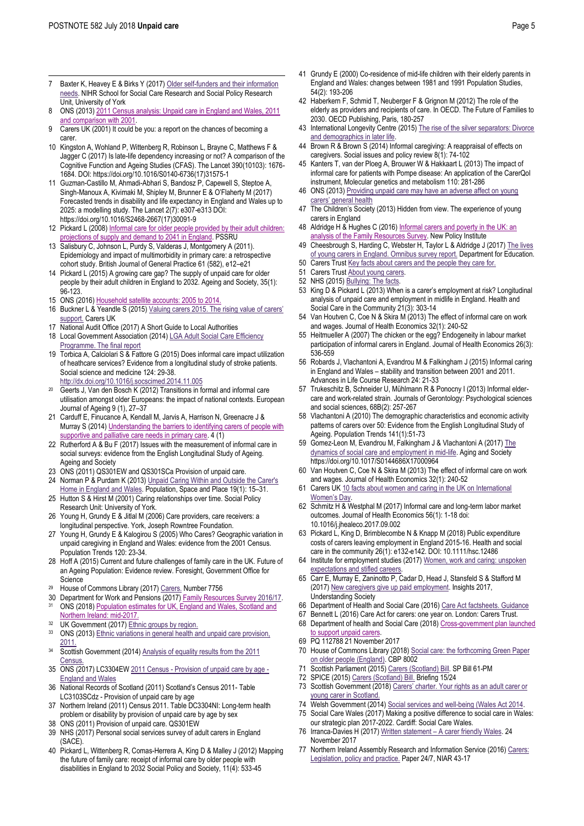- $\overline{a}$ 7 Baxter K, Heavey E & Birks Y (2017) Older self-funders and their information [needs.](https://www.sscr.nihr.ac.uk/PDF/Findings/RF62.pdf) NIHR School for Social Care Research and Social Policy Research Unit, University of York
- 8 ONS (2013[\) 2011 Census analysis: Unpaid care in England and Wales, 2011](https://www.ons.gov.uk/peoplepopulationandcommunity/healthandsocialcare/healthcaresystem/articles/2011censusanalysisunpaidcareinenglandandwales2011andcomparisonwith2001/2013-02-15)  [and comparison with 2001.](https://www.ons.gov.uk/peoplepopulationandcommunity/healthandsocialcare/healthcaresystem/articles/2011censusanalysisunpaidcareinenglandandwales2011andcomparisonwith2001/2013-02-15)
- 9 Carers UK (2001) It could be you: a report on the chances of becoming a carer.
- 10 Kingston A, Wohland P, Wittenberg R, Robinson L, Brayne C, Matthews F & Jagger C (2017) Is late-life dependency increasing or not? A comparison of the Cognitive Function and Ageing Studies (CFAS). The Lancet 390(10103): 1676- 1684. DOI: https://doi.org/10.1016/S0140-6736(17)31575-1
- Guzman-Castillo M, Ahmadi-Abhari S, Bandosz P, Capewell S, Steptoe A Singh-Manoux A, Kivimaki M, Shipley M, Brunner E & O'Flaherty M (2017) Forecasted trends in disability and life expectancy in England and Wales up to 2025: a modelling study. The Lancet 2(7): e307-e313 DOI: https://doi.org/10.1016/S2468-2667(17)30091-9
- 12 Pickard L (2008) Informal care for older people provided by their adult children: [projections of supply and demand to 2041 in England.](https://www.pssru.ac.uk/pub/dp2515.pdf) PSSRU
- 13 Salisbury C, Johnson L, Purdy S, Valderas J, Montgomery A (2011). Epidemiology and impact of multimorbidity in primary care: a retrospective cohort study. British Journal of General Practice 61 (582), e12–e21
- 14 Pickard L (2015) A growing care gap? The supply of unpaid care for older people by their adult children in England to 2032. Ageing and Society, 35(1): 96-123.
- 15 ONS (2016[\) Household satellite accounts: 2005 to 2014.](https://www.ons.gov.uk/economy/nationalaccounts/satelliteaccounts/compendium/householdsatelliteaccounts/2005to2014)
- 16 Buckner L & Yeandle S (2015[\) Valuing carers 2015. The rising](https://www.carersuk.org/for-professionals/policy/policy-library/valuing-carers-2015) value of carers' [support.](https://www.carersuk.org/for-professionals/policy/policy-library/valuing-carers-2015) Carers UK
- 17 National Audit Office (2017) A Short Guide to Local Authorities
- 18 Local Government Association (2014) LGA Adult Social Care Efficiency [Programme. The final report](https://www.local.gov.uk/sites/default/files/documents/lga-adult-social-care-eff-549.pdf)
- 19 Torbica A, Calciolari S & Fattore G (2015) Does informal care impact utilization of heathcare services? Evidence from a longitudinal study of stroke patients. Social science and medicine 124: 29-38. <http://dx.doi.org/10.1016/j.socscimed.2014.11.005>
- Geerts J, Van den Bosch K (2012) Transitions in formal and informal care utilisation amongst older Europeans: the impact of national contexts. European Journal of Ageing 9 (1), 27–37
- 21 Carduff E, Finucance A, Kendall M, Jarvis A, Harrison N, Greenacre J & Murray S (2014[\) Understanding the barriers to identifying carers of people with](http://spcare.bmj.com/content/4/Suppl_1/A17.1) supportive and palliative care needs in primary care 4 (1)
- 22 Rutherford A & Bu F (2017) Issues with the measurement of informal care in social surveys: evidence from the English Longitudinal Study of Ageing. Ageing and Society
- 23 ONS (2011) QS301EW and QS301SCa Provision of unpaid care.
- 24 Norman P & Purdam K (2013) Unpaid Caring Within and Outside the Carer's [Home in England and Wales.](http://eprints.whiterose.ac.uk/76872/15/norman15.pdf) Population, Space and Place 19(1): 15–31.
- 25 Hutton S & Hirst M (2001) Caring relationships over time. Social Policy Research Unit: University of York.
- 26 Young H, Grundy E & Jitlal M (2006) Care providers, care receivers: a longitudinal perspective. York, Joseph Rowntree Foundation.
- 27 Young H, Grundy E & Kalogirou S (2005) Who Cares? Geographic variation in unpaid caregiving in England and Wales: evidence from the 2001 Census. Population Trends 120: 23-34.
- 28 Hoff A (2015) Current and future challenges of family care in the UK. Future of an Ageing Population: Evidence review. Foresight, Government Office for **Science**
- <sup>29</sup> House of Commons Library (2017[\) Carers.](http://researchbriefings.parliament.uk/ResearchBriefing/Summary/CBP-7756) Number 7756
- 30 Department for Work and Pensions (2017[\) Family Resources Survey](https://www.gov.uk/government/collections/family-resources-survey--2) 2016/17.<br><sup>31</sup> ONS (2018) Population estimates for LIK, Fogland and Wales, Scotland and ONS (2018) Population estimates for UK, England and Wales, Scotland and [Northern Ireland:](https://www.ons.gov.uk/peoplepopulationandcommunity/populationandmigration/populationestimates/bulletins/annualmidyearpopulationestimates/mid2017) mid-2017.
- 32 UK Government (2017[\) Ethnic groups by](https://www.ethnicity-facts-figures.service.gov.uk/ethnicity-in-the-uk/ethnic-groups-by-region) region.
- 33 ONS (2013) Ethnic variations in general health and unpaid care provision, [2011.](http://webarchive.nationalarchives.gov.uk/20160107072017/http:/www.ons.gov.uk/ons/dcp171776_318773.pdf)
- <sup>34</sup> Scottish Government (2014) Analysis of equality results from the 2011 [Census.](https://www.gov.scot/Publications/2014/10/8378/3)
- 35 ONS (2017) LC3304EW 2011 Census [Provision of unpaid care by age -](https://www.ons.gov.uk/peoplepopulationandcommunity/healthandsocialcare/socialcare/adhocs/007664ct07372011censusprovisionofunpaidcarebyageenglandandwales) [England and Wales](https://www.ons.gov.uk/peoplepopulationandcommunity/healthandsocialcare/socialcare/adhocs/007664ct07372011censusprovisionofunpaidcarebyageenglandandwales)
- 36 National Records of Scotland (2011) Scotland's Census 2011- Table LC3103SCdz - Provision of unpaid care by age
- 37 Northern Ireland (2011) Census 2011. Table DC3304NI: Long-term health problem or disability by provision of unpaid care by age by sex
- 38 ONS (2011) Provision of unpaid care. QS301EW
- 39 NHS (2017) Personal social services survey of adult carers in England (SACE).
- 40 Pickard L, Wittenberg R, Comas-Herrera A, King D & Malley J (2012) Mapping the future of family care: receipt of informal care by older people with disabilities in England to 2032 Social Policy and Society, 11(4): 533-45
- 41 Grundy E (2000) Co-residence of mid-life children with their elderly parents in England and Wales: changes between 1981 and 1991 Population Studies, 54(2): 193-206
- 42 Haberkern F, Schmid T, Neuberger F & Grignon M (2012) The role of the elderly as providers and recipients of care. In OECD. The Future of Families to 2030. OECD Publishing, Paris, 180-257
- 43 International Longevity Centre (2015[\) The rise of the silver separators: Divorce](http://www.ilcuk.org.uk/images/uploads/publication-pdfs/The_rise_of_the_silver_separators.pdf)  [and demographics in later life.](http://www.ilcuk.org.uk/images/uploads/publication-pdfs/The_rise_of_the_silver_separators.pdf)
- 44 Brown R & Brown S (2014) Informal caregiving: A reappraisal of effects on caregivers. Social issues and policy review 8(1): 74-102
- 45 Kanters T, van der Ploeg A, Brouwer W & Hakkaart L (2013) The impact of informal care for patients with Pompe disease: An application of the CarerQol instrument, Molecular genetics and metabolism 110: 281-286
- 46 ONS (2013[\) Providing unpaid care may have](http://webarchive.nationalarchives.gov.uk/20160107224205/http:/www.ons.gov.uk/ons/rel/census/2011-census-analysis/provision-of-unpaid-care-in-england-and-wales--2011/sty-unpaid-care.html) an adverse affect on young [carers' general health](http://webarchive.nationalarchives.gov.uk/20160107224205/http:/www.ons.gov.uk/ons/rel/census/2011-census-analysis/provision-of-unpaid-care-in-england-and-wales--2011/sty-unpaid-care.html)
- 47 The Children's Society (2013) Hidden from view. The experience of young carers in England
- 48 Aldridge H & Hughes C (2016) Informal carers and poverty in the UK: an [analysis of the Family Resources Survey.](http://npi.org.uk/publications/income-and-poverty/informal-care-and-poverty-uk/) New Policy Institute
- 49 Cheesbrough S, Harding C, Webster H, Taylor L & Aldridge J (2017[\) The lives](https://www.gov.uk/government/uploads/system/uploads/attachment_data/file/582575/Lives_of_young_carers_in_England_Omnibus_research_report.pdf)  [of young carers in England. Omnibus survey report.](https://www.gov.uk/government/uploads/system/uploads/attachment_data/file/582575/Lives_of_young_carers_in_England_Omnibus_research_report.pdf) Department for Education.
- 50 Carers Trus[t Key facts about carers and the people they care for.](https://carers.org/key-facts-about-carers-and-people-they-care)
- 51 Carers Trus[t About young carers.](https://carers.org/about-us/about-young-carers)
- 52 NHS (2015[\) Bullying: The facts.](https://www.nhs.uk/Livewell/Bullying/Pages/Bullyingfacts.aspx)
- 53 King D & Pickard L (2013) When is a carer's employment at risk? Longitudinal analysis of unpaid care and employment in midlife in England. Health and Social Care in the Community 21(3): 303-14
- 54 Van Houtven C, Coe N & Skira M (2013) The effect of informal care on work and wages. Journal of Health Economics 32(1): 240-52
- 55 Heitmueller A (2007) The chicken or the egg? Endogeneity in labour market participation of informal carers in England. Journal of Health Economics 26(3): 536-559
- 56 Robards J, Vlachantoni A, Evandrou M & Falkingham J (2015) Informal caring in England and Wales – stability and transition between 2001 and 2011. Advances in Life Course Research 24: 21-33
- 57 Trukeschitz B, Schneider U, Mühlmann R & Ponocny I (2013) Informal eldercare and work-related strain. Journals of Gerontology: Psychological sciences and social sciences, 68B(2): 257-267
- 58 Vlachantoni A (2010) The demographic characteristics and economic activity patterns of carers over 50: Evidence from the English Longitudinal Study of Ageing. Population Trends 141(1):51-73
- 59 Gomez-Leon M, Evandrou M, Falkingham J & Vlachantoni A (2017[\) The](https://www.cambridge.org/core/journals/ageing-and-society/article/dynamics-of-social-care-and-employment-in-midlife/82EE647DEC63EFAB92EB3C69CEEE8F13)  [dynamics of social care and employment in mid-life.](https://www.cambridge.org/core/journals/ageing-and-society/article/dynamics-of-social-care-and-employment-in-midlife/82EE647DEC63EFAB92EB3C69CEEE8F13) Aging and Society https://doi.org/10.1017/S0144686X17000964
- Van Houtven C, Coe N & Skira M (2013) The effect of informal care on work and wages. Journal of Health Economics 32(1): 240-52
- 61 Carers UK 10 facts about women and caring in the UK on International [Women's Day](https://www.carersuk.org/news-and-campaigns/features/10-facts-about-women-and-caring-in-the-uk-on-international-women-s-day).
- 62 Schmitz H & Westphal M (2017) Informal care and long-term labor market outcomes. Journal of Health Economics 56(1): 1-18 doi: 10.1016/j.jhealeco.2017.09.002
- 63 Pickard L, King D, Brimblecombe N & Knapp M (2018) Public expenditure costs of carers leaving employment in England 2015-16. Health and social care in the community 26(1): e132-e142. DOI: 10.1111/hsc.12486
- 64 Institute for employment studies (2017[\) Women, work and caring: unspoken](http://www.employment-studies.co.uk/news/women-work-and-caring-unspoken-expectations-and-stifled-careers)  [expectations and stifled careers.](http://www.employment-studies.co.uk/news/women-work-and-caring-unspoken-expectations-and-stifled-careers)
- 65 Carr E, Murray E, Zaninotto P, Cadar D, Head J, Stansfeld S & Stafford M (2017[\) New caregivers give up paid employment.](https://www.understandingsociety.ac.uk/sites/default/files/downloads/findings/insights-2017.pdf) Insights 2017, Understanding Society
- 66 Department of Health and Social Care (2016[\) Care Act factsheets. Guidance](https://www.gov.uk/government/publications/care-act-2014-part-1-factsheets/care-act-factsheets#factsheet-8-the-law-for-carers)
- 67 Bennett L (2016) Care Act for carers: one year on. London: Carers Trust.
- 68 Department of health and Social Care (2018[\) Cross-government plan launched](https://www.gov.uk/government/news/cross-government-plan-launched-to-support-unpaid-carers)  to support unpaid carers
- 69 PQ 112788 21 November 2017
- 70 House of Commons Library (2018) Social care: the forthcoming Green Paper [on older people \(England\).](http://researchbriefings.intranet.parliament.uk/ResearchBriefing/Summary/CBP-8002) CBP 8002
- 71 Scottish Parliament (2015[\) Carers \(Scotland\) Bill.](https://www.parliament.scot/S4_Bills/Carers%20(Scotland)%20Bill/b61s4-introd-pm.pdf) SP Bill 61-PM
- 72 SPICE (2015[\) Carers \(Scotland\) Bill.](http://www.parliament.scot/ResearchBriefingsAndFactsheets/S4/SB_15-24_Carers_Scotland_Bill.pdf) Briefing 15/24
- 73 Scottish Government (2018) [Carers' charter. Your rights a](http://www.gov.scot/Resource/0053/00533199.pdf)s an adult carer or [young carer in Scotland.](http://www.gov.scot/Resource/0053/00533199.pdf)
- 74 Welsh Government (2014[\) Social services and well-being \(Wales Act 2014.](http://www.legislation.gov.uk/anaw/2014/4/pdfs/anaw_20140004_en.pdf)
- 75 Social Care Wales (2017) Making a positive difference to social care in Wales: our strategic plan 2017-2022. Cardiff: Social Care Wales.
- 76 Irranca-Davies H (2017) Written statement [A carer friendly Wales.](https://gov.wales/about/cabinet/cabinetstatements/2017/carerfriendlywales/?lang=en) 24 November 2017
- 77 Northern Ireland Assembly Research and Information Service (2016) Carers: [Legislation, policy and practice.](http://www.niassembly.gov.uk/globalassets/documents/raise/publications/2017-2022/2017/health/2417.pdf) Paper 24/7, NIAR 43-17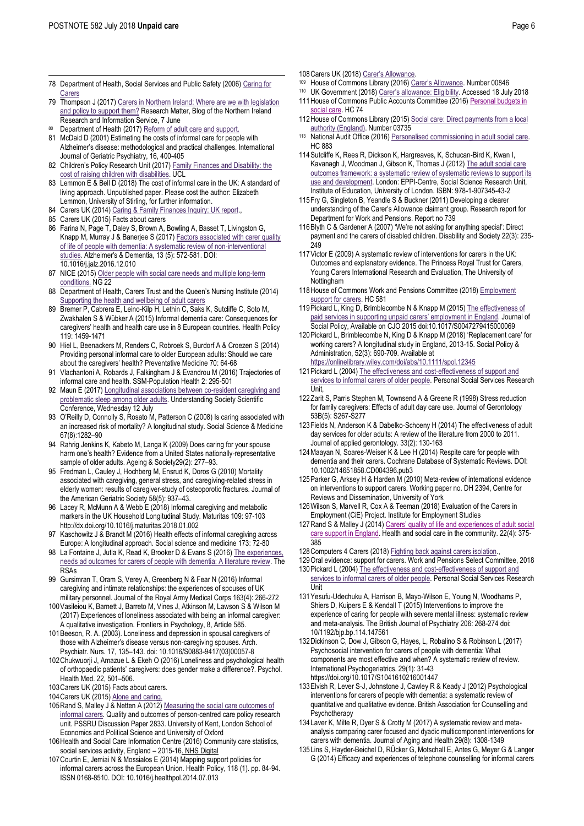$\overline{a}$ 

- 78 Department of Health, Social Services and Public Safety (2006) [Caring for](https://www.health-ni.gov.uk/publications/caring-carers)  **[Carers](https://www.health-ni.gov.uk/publications/caring-carers)**
- 79 Thompson J (2017[\) Carers in Northern Ireland: Where are we with legislation](http://www.assemblyresearchmatters.org/2017/06/07/supporting-carers-in-northern-ireland/)  [and policy to support them?](http://www.assemblyresearchmatters.org/2017/06/07/supporting-carers-in-northern-ireland/) Research Matter, Blog of the Northern Ireland Research and Information Service, 7 June
- Department of Health (2017[\) Reform of adult care and support.](https://www.health-ni.gov.uk/articles/reform-adult-care-and-support)
- 81 McDaid D (2001) Estimating the costs of informal care for people with Alzheimer's disease: methodological and practical challenges. International Journal of Geriatric Psychiatry, 16, 400-405
- 82 Children's Policy Research Unit (2017) [Family Finances and Disability: the](https://www.ucl.ac.uk/children-policy-research/documents/publications/case-studies/Health_EconomicsV8.1_WEB_FINAL.pdf)  [cost of raising children](https://www.ucl.ac.uk/children-policy-research/documents/publications/case-studies/Health_EconomicsV8.1_WEB_FINAL.pdf) with disabilities. UCL
- 83 Lemmon E & Bell D (2018) The cost of informal care in the UK: A standard of living approach. Unpublished paper. Please cost the author: Elizabeth Lemmon, University of Stirling, for further information.
- 84 Carers UK (2014) Caring & Family Finances Inquiry: UK report.
- 85 Carers UK (2015) Facts about carers
- 86 Farina N, Page T, Daley S, Brown A, Bowling A, Basset T, Livingston G, Knapp M, Murray J & Banerjee S (2017) Factors associated with carer quality [of life of people with dementia: A systematic review of non-interventional](http://eprints.lse.ac.uk/69677/7/Knapp_Factors%20associated%20with%20quality%20published_2017.pdf)  [studies.](http://eprints.lse.ac.uk/69677/7/Knapp_Factors%20associated%20with%20quality%20published_2017.pdf) Alzheimer's & Dementia, 13 (5): 572-581. DOI: 10.1016/j.jalz.2016.12.010
- 87 NICE (2015[\) Older people with social care needs and multiple long-term](https://www.nice.org.uk/guidance/ng22/resources/older-people-with-social-care-needs-and-multiple-longterm-conditions-pdf-1837328537797)  [conditions.](https://www.nice.org.uk/guidance/ng22/resources/older-people-with-social-care-needs-and-multiple-longterm-conditions-pdf-1837328537797) NG 22
- 88 Department of Health, Carers Trust and the Queen's Nursing Institute (2014) [Supporting the health and wellbeing of adult carers](https://www.gov.uk/government/uploads/system/uploads/attachment_data/file/329867/Carers_Pathway.pdf)
- 89 Bremer P, Cabrera E, Leino-Kilp H, Lethin C, Saks K, Sutcliffe C, Soto M, Zwakhalen S & Wübker A (2015) Informal dementia care: Consequences for caregivers' health and health care use in 8 European countries. Health Policy 119: 1459-1471
- 90 Hiel L, Beenackers M, Renders C, Robroek S, Burdorf A & Croezen S (2014) Providing personal informal care to older European adults: Should we care about the caregivers' health? Preventative Medicine 70: 64-68
- 91 Vlachantoni A, Robards J, Falkingham J & Evandrou M (2016) Trajectories of informal care and health. SSM-Population Health 2: 295-501
- 92 Maun E (2017[\) Longitudinal associations between](https://www.understandingsociety.ac.uk/research/publications/524457) co-resident caregiving and [problematic sleep among older adults.](https://www.understandingsociety.ac.uk/research/publications/524457) Understanding Society Scientific Conference, Wednesday 12 July
- 93 O'Reilly D, Connolly S, Rosato M, Patterson C (2008) Is caring associated with an increased risk of mortality? A longitudinal study. Social Science & Medicine 67(8):1282–90
- 94 Rahrig Jenkins K, Kabeto M, Langa K (2009) Does caring for your spouse harm one's health? Evidence from a United States nationally-representative sample of older adults. Ageing & Society29(2): 277–93.
- 95 Fredman L, Cauley J, Hochberg M, Ensrud K, Doros G (2010) Mortality associated with caregiving, general stress, and caregiving-related stress in elderly women: results of caregiver-study of osteoporotic fractures. Journal of the American Geriatric Society 58(5): 937–43.
- 96 Lacey R, McMunn A & Webb E (2018) Informal caregiving and metabolic markers in the UK Household Longitudinal Study. Maturitas 109: 97-103 http://dx.doi.org/10.1016/j.maturitas.2018.01.002
- 97 Kaschowitz J & Brandt M (2016) Health effects of informal caregiving across Europe: A longitudinal approach. Social science and medicine 173: 72-80
- 98 La Fontaine J, Jutla K, Read K, Brooker D & Evans S (2016) The experiences, [needs ad outcomes for carers of people with dementia: A literature review.](http://www.thersas.org.uk/wp-content/uploads/2016/04/RSAS-ADS-Experiences-needs-outcomes-for-carers-of-people-with-dementia-Lit-review-2016.pdf) The RSAs
- 99 Gursimran T, Oram S, Verey A, Greenberg N & Fear N (2016) Informal caregiving and intimate relationships: the experiences of spouses of UK military personnel. Journal of the Royal Army Medical Corps 163(4): 266-272
- 100Vasileiou K, Barnett J, Barreto M, Vines J, Atkinson M, Lawson S & Wilson M (2017) Experiences of loneliness associated with being an informal caregiver: A qualitative investigation. Frontiers in Psychology, 8, Article 585.
- 101Beeson, R. A. (2003). Loneliness and depression in spousal caregivers of those with Alzheimer's disease versus non-caregiving spouses. Arch. Psychiatr. Nurs. 17, 135–143. doi: 10.1016/S0883-9417(03)00057-8
- 102Chukwuorji J, Amazue L & Ekeh O (2016) Loneliness and psychological health of orthopaedic patients' caregivers: does gender make a difference?. Psychol. Health Med. 22, 501–506.
- 103Carers UK (2015) Facts about carers.
- 104Carers UK (2015[\) Alone and caring.](https://www.carersuk.org/for-professionals/policy/policy-library/alone-caring)
- 105 Rand S, Malley J & Netten A (2012) Measuring the social care outcomes of [informal carers.](http://eprints.lse.ac.uk/47520/1/dp2833.pdf) Quality and outcomes of person-centred care policy research unit. PSSRU Discussion Paper 2833. University of Kent, London School of Economics and Political Science and University of Oxford
- 106Health and Social Care Information Centre (2016) Community care statistics, social services activity, England – 2015-16. NHS Digital
- 107Courtin E, Jemiai N & Mossialos E (2014) Mapping support policies for informal carers across the European Union. Health Policy, 118 (1). pp. 84-94. ISSN 0168-8510. DOI: 10.1016/j.healthpol.2014.07.013
- 108Carers UK (2018) [Carer's Allowance](https://www.carersuk.org/files/helpandadvice/71/factsheet-uk1025-carers-allowance-2017-2018.pdf).
- <sup>109</sup> House of Commons Library (2016) Ca[rer's Allowance](http://researchbriefings.files.parliament.uk/documents/SN00846/SN00846.pdf). Number 00846
- <sup>110</sup> UK Government (2018) [Carer's allowance: Eligibility](https://www.gov.uk/carers-allowance/eligibility). Accessed 18 July 2018 111 House of Commons Public Accounts Committee (2016) Personal budgets in
- [social care.](https://publications.parliament.uk/pa/cm201617/cmselect/cmpubacc/74/74.pdf) HC 74 112 House of Commons Library (2015) Social care: Direct payments from a local
- [authority \(England\).](http://researchbriefings.files.parliament.uk/documents/SN03735/SN03735.pdf) Number 03735
- 113 National Audit Office (2016) Personalised commissioning in adult social care. HC 883
- 114Sutcliffe K, Rees R, Dickson K, Hargreaves, K, Schucan-Bird K, Kwan I, Kavanagh J, Woodman J, Gibson K, Thomas J (2012) The adult social care [outcomes framework: a systematic review of systematic reviews to support its](https://eppi.ioe.ac.uk/cms/Default.aspx?tabid=3428)  [use and development.](https://eppi.ioe.ac.uk/cms/Default.aspx?tabid=3428) London: EPPI-Centre, Social Science Research Unit, Institute of Education, University of London. ISBN: 978-1-907345-43-2
- 115Fry G, Singleton B, Yeandle S & Buckner (2011) Developing a clearer understanding of the Carer's Allowance claimant group. Research report for Department for Work and Pensions. Report no 739
- 116Blyth C & Gardener A (2007) 'We're not asking for anything special': Direct payment and the carers of disabled children. Disability and Society 22(3): 235-  $249$
- 117Victor E (2009) A systematic review of interventions for carers in the UK: Outcomes and explanatory evidence. The Princess Royal Trust for Carers, Young Carers International Research and Evaluation, The University of **Nottingham**
- 118House of Commons Work and Pensions Committee (2018[\) Employment](https://publications.parliament.uk/pa/cm201719/cmselect/cmworpen/581/581.pdf)  [support for carers.](https://publications.parliament.uk/pa/cm201719/cmselect/cmworpen/581/581.pdf) HC 581
- 119 Pickard L, King D, Brimblecombe N & Knapp M (2015) The effectiveness of [paid services in supporting unpaid c](http://eprints.lse.ac.uk/61081/1/Pickard_The%20Effectiveness.pdf)arers' employment in England. Journal of Social Policy, Available on CJO 2015 doi:10.1017/S0047279415000069
- 120Pickard L, Brimblecombe N, King D & Knapp M (2018) 'Replacement care' for working carers? A longitudinal study in England, 2013-15. Social Policy & Administration, 52(3): 690-709. Available at
- <https://onlinelibrary.wiley.com/doi/abs/10.1111/spol.12345> 121Pickard L (2004[\) The effectiveness and cost-effectiveness of support and](https://www.pssru.ac.uk/pub/dp2014.pdf)
- [services to informal carers of older people.](https://www.pssru.ac.uk/pub/dp2014.pdf) Personal Social Services Research Unit,
- 122Zarit S, Parris Stephen M, Townsend A & Greene R (1998) Stress reduction for family caregivers: Effects of adult day care use. Journal of Gerontology 53B(5): S267-S277
- 123Fields N, Anderson K & Dabelko-Schoeny H (2014) The effectiveness of adult day services for older adults: A review of the literature from 2000 to 2011. Journal of applied gerontology. 33(2): 130-163
- 124Maayan N, Soares-Weiser K & Lee H (2014) Respite care for people with dementia and their carers. Cochrane Database of Systematic Reviews. DOI: 10.1002/14651858.CD004396.pub3
- 125Parker G, Arksey H & Harden M (2010) Meta-review of international evidence on interventions to support carers. Working paper no. DH 2394, Centre for Reviews and Dissemination, University of York
- 126Wilson S, Marvell R, Cox A & Teeman (2018) Evaluation of the Carers in Employment (CiE) Project. Institute for Employment Studies
- 127 Rand S & Malley J (2014) Carers' quality of life and experiences of adult social [care support in England.](https://www.ncbi.nlm.nih.gov/pmc/articles/PMC4265286/pdf/hsc0022-0375.pdf) Health and social care in the community. 22(4): 375- 385
- 128 Computers 4 Carers (2018) Fighting back against carers isolation.
- 129Oral evidence: support for carers. Work and Pensions Select Committee, 2018 130 Pickard L (2004) The effectiveness and cost-effectiveness of support and [services to informal carers of older people.](https://www.pssru.ac.uk/pub/dp2014.pdf) Personal Social Services Research Unit
- 131Yesufu-Udechuku A, Harrison B, Mayo-Wilson E, Young N, Woodhams P, Shiers D, Kuipers E & Kendall T (2015) Interventions to improve the experience of caring for people with severe mental illness: systematic review and meta-analysis. The British Journal of Psychiatry 206: 268-274 doi: 10/1192/bjp.bp.114.147561
- 132Dickinson C, Dow J, Gibson G, Hayes, L, Robalino S & Robinson L (2017) Psychosocial intervention for carers of people with dementia: What components are most effective and when? A systematic review of review. International Psychogeriatrics. 29(1): 31-43 https://doi.org/10.1017/S1041610216001447
- 133Elvish R, Lever S-J, Johnstone J, Cawley R & Keady J (2012) Psychological interventions for carers of people with dementia: a systematic review of quantitative and qualitative evidence. British Association for Counselling and **Psychotherapy**
- 134Laver K, Milte R, Dyer S & Crotty M (2017) A systematic review and metaanalysis comparing carer focused and dyadic multicomponent interventions for carers with dementia. Journal of Aging and Health 29(8): 1308-1349
- 135Lins S, Hayder-Beichel D, RÜcker G, Motschall E, Antes G, Meyer G & Langer G (2014) Efficacy and experiences of telephone counselling for informal carers